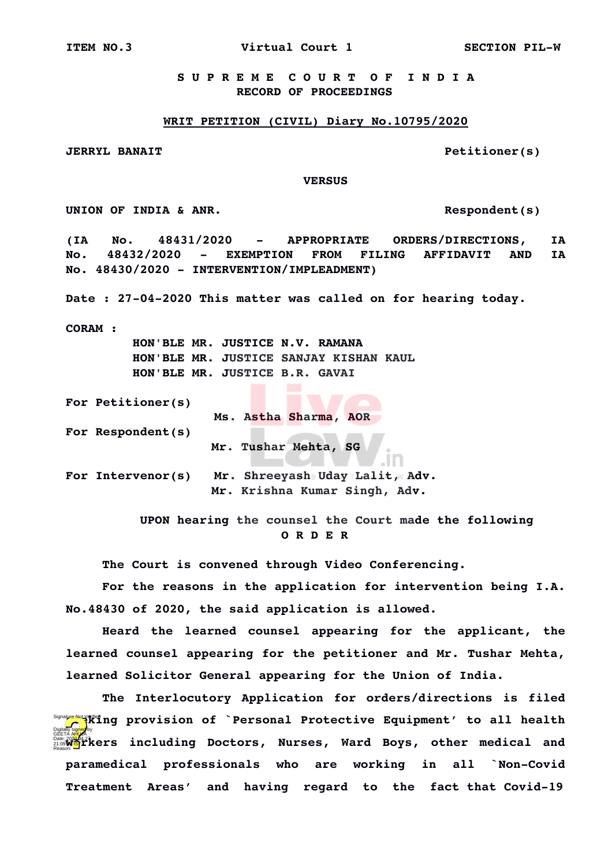**ITEM NO.3 Virtual Court 1 SECTION PILW**

 **S U P R E M E C O U R T O F I N D I A RECORD OF PROCEEDINGS**

## **WRIT PETITION (CIVIL) Diary No.10795/2020**

**JERRYL BANAIT Petitioner(s)**

 **VERSUS**

**UNION OF INDIA & ANR. Respondent(s)**

**(IA No. 48431/2020 APPROPRIATE ORDERS/DIRECTIONS, IA No. 48432/2020 EXEMPTION FROM FILING AFFIDAVIT AND IA No. 48430/2020 INTERVENTION/IMPLEADMENT)**

Date : 27-04-2020 This matter was called on for hearing today.

**CORAM :** 

 **HON'BLE MR. JUSTICE N.V. RAMANA HON'BLE MR. JUSTICE SANJAY KISHAN KAUL HON'BLE MR. JUSTICE B.R. GAVAI**

**For Petitioner(s)**

 **Ms. Astha Sharma, AOR** 

**For Respondent(s)**

**Mr. Tushar Mehta, SG**

For Intervenor(s) Mr. Shreeyash Uday Lalit, Adv. **Mr. Krishna Kumar Singh, Adv.** 

> **UPON hearing the counsel the Court made the following O R D E R**

**The Court is convened through Video Conferencing.**

**For the reasons in the application for intervention being I.A. No.48430 of 2020, the said application is allowed.**

**Heard the learned counsel appearing for the applicant, the learned counsel appearing for the petitioner and Mr. Tushar Mehta, learned Solicitor General appearing for the Union of India.**

**The Interlocutory Application for orders/directions is filed** Signa<mark>ure Not</mark> Virting provision of `Personal Protective Equipment' to all health **GEETA AHUGA**<br>21:09 MAJ AMUS<br>Reason: 2020 MAJ AHU AHU AHUJA DOCtOrs, Nurses, Ward Boys, other medical and paramedical professionals who are working in all **`Non-Covid** Treatment Areas' and having regard to the fact that Covid-19 Digitally signed by